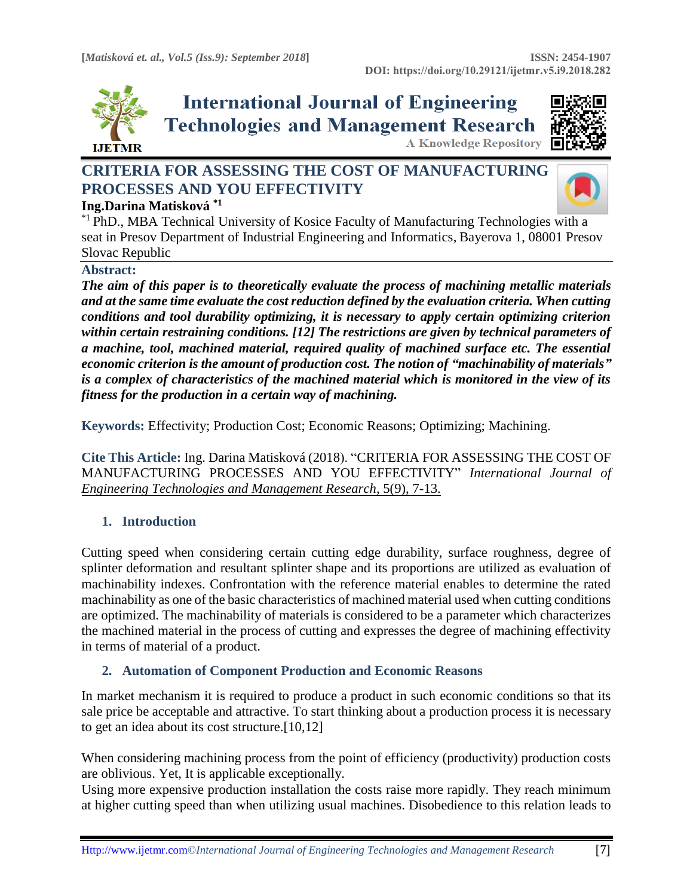

**International Journal of Engineering Technologies and Management Research** 



**A Knowledge Repository** 

# **CRITERIA FOR ASSESSING THE COST OF MANUFACTURING PROCESSES AND YOU EFFECTIVITY Ing.Darina Matisková \*1**



 $*1$  PhD., MBA Technical University of Kosice Faculty of Manufacturing Technologies with a seat in Presov Department of Industrial Engineering and Informatics, Bayerova 1, 08001 Presov Slovac Republic

# **Abstract:**

*The aim of this paper is to theoretically evaluate the process of machining metallic materials and at the same time evaluate the cost reduction defined by the evaluation criteria. When cutting conditions and tool durability optimizing, it is necessary to apply certain optimizing criterion within certain restraining conditions. [12] The restrictions are given by technical parameters of a machine, tool, machined material, required quality of machined surface etc. The essential economic criterion is the amount of production cost. The notion of "machinability of materials" is a complex of characteristics of the machined material which is monitored in the view of its fitness for the production in a certain way of machining.*

**Keywords:** Effectivity; Production Cost; Economic Reasons; Optimizing; Machining.

**Cite This Article:** Ing. Darina Matisková (2018). "CRITERIA FOR ASSESSING THE COST OF MANUFACTURING PROCESSES AND YOU EFFECTIVITY" *International Journal of Engineering Technologies and Management Research,* 5(9), 7-13.

# **1. Introduction**

Cutting speed when considering certain cutting edge durability, surface roughness, degree of splinter deformation and resultant splinter shape and its proportions are utilized as evaluation of machinability indexes. Confrontation with the reference material enables to determine the rated machinability as one of the basic characteristics of machined material used when cutting conditions are optimized. The machinability of materials is considered to be a parameter which characterizes the machined material in the process of cutting and expresses the degree of machining effectivity in terms of material of a product.

### **2. Automation of Component Production and Economic Reasons**

In market mechanism it is required to produce a product in such economic conditions so that its sale price be acceptable and attractive. To start thinking about a production process it is necessary to get an idea about its cost structure.[10,12]

When considering machining process from the point of efficiency (productivity) production costs are oblivious. Yet, It is applicable exceptionally.

Using more expensive production installation the costs raise more rapidly. They reach minimum at higher cutting speed than when utilizing usual machines. Disobedience to this relation leads to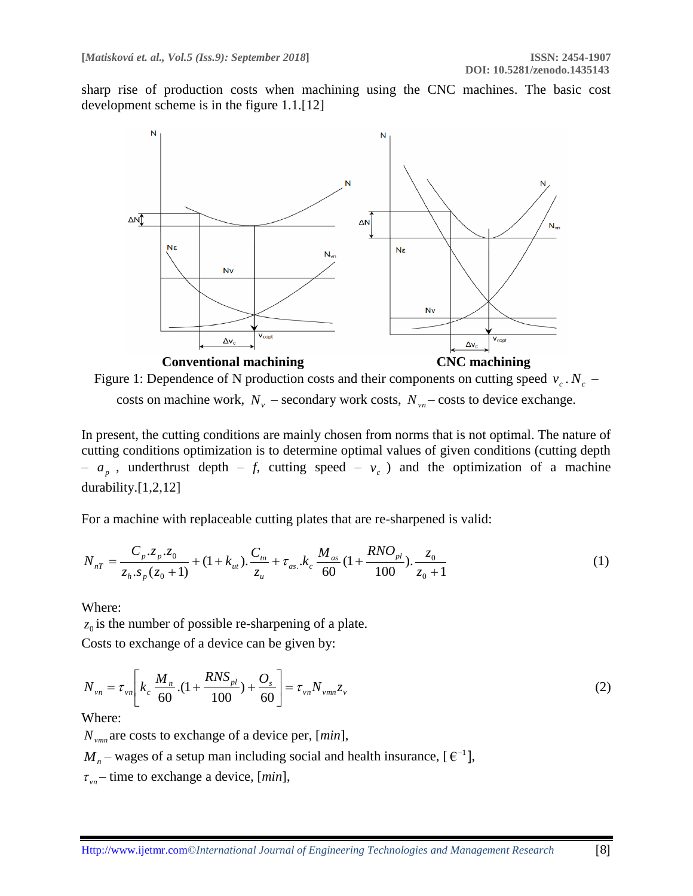sharp rise of production costs when machining using the CNC machines. The basic cost development scheme is in the figure 1.1.[12]



Figure 1: Dependence of N production costs and their components on cutting speed  $v_c$ .  $N_c$  – costs on machine work,  $N_v$  – secondary work costs,  $N_{vn}$ – costs to device exchange.

In present, the cutting conditions are mainly chosen from norms that is not optimal. The nature of cutting conditions optimization is to determine optimal values of given conditions (cutting depth -  $a_p$ , underthrust depth - *f*, cutting speed -  $v_c$ ) and the optimization of a machine durability.[1,2,12]

For a machine with replaceable cutting plates that are re-sharpened is valid:

$$
N_{nT} = \frac{C_p \cdot z_p \cdot z_0}{z_h \cdot s_p (z_0 + 1)} + (1 + k_{ut}) \cdot \frac{C_m}{z_u} + \tau_{as.} k_c \frac{M_{as}}{60} (1 + \frac{RNO_{pl}}{100}) \cdot \frac{z_0}{z_0 + 1}
$$
(1)

Where:

 $z_0$  is the number of possible re-sharpening of a plate. Costs to exchange of a device can be given by:

$$
N_{\nu n} = \tau_{\nu n} \left[ k_c \frac{M_n}{60} . (1 + \frac{R N S_{pl}}{100}) + \frac{O_s}{60} \right] = \tau_{\nu n} N_{\nu m n} z_{\nu}
$$
 (2)

Where:

*Nvmn* are costs to exchange of a device per, [*min*],

 $M_n$  – wages of a setup man including social and health insurance,  $[ \epsilon^{-1} ]$ ,

 $\tau_{vn}$  – time to exchange a device, [*min*],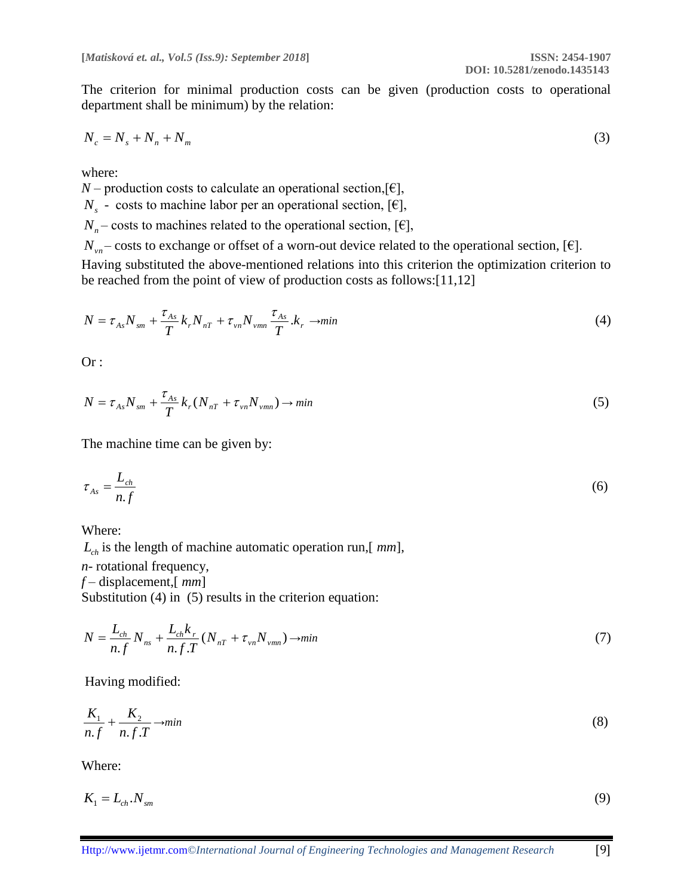The criterion for minimal production costs can be given (production costs to operational department shall be minimum) by the relation:

$$
N_c = N_s + N_n + N_m \tag{3}
$$

where:

*N* – production costs to calculate an operational section,  $[\epsilon]$ ,

 $N_s$  - costs to machine labor per an operational section, [ $\epsilon$ ],

 $N_n$ – costs to machines related to the operational section, [ $\epsilon$ ],

 $N_{\nu n}$  – costs to exchange or offset of a worn-out device related to the operational section, [ $\epsilon$ ].

Having substituted the above-mentioned relations into this criterion the optimization criterion to be reached from the point of view of production costs as follows:[11,12]

$$
N = \tau_{As} N_{sm} + \frac{\tau_{As}}{T} k_r N_{nT} + \tau_{vn} N_{vmn} \frac{\tau_{As}}{T} k_r \rightarrow min
$$
\n(4)

Or :

$$
N = \tau_{As} N_{sm} + \frac{\tau_{As}}{T} k_r (N_{nT} + \tau_{vn} N_{vmn}) \rightarrow min
$$
\n(5)

The machine time can be given by:

$$
\tau_{As} = \frac{L_{ch}}{n.f} \tag{6}
$$

Where:

*Lch* is the length of machine automatic operation run,[ *mm*],

*n*- rotational frequency,

*f* – displacement,[ *mm*]

Substitution (4) in (5) results in the criterion equation:

$$
N = \frac{L_{ch}}{n.f} N_{ns} + \frac{L_{ch}k_r}{n.f.T} (N_{nT} + \tau_{vn} N_{vmn}) \rightarrow min
$$
\n(7)

Having modified:

$$
\frac{K_1}{n.f} + \frac{K_2}{n.f.T} \rightarrow min
$$
\n(8)

Where:

$$
K_1 = L_{ch} . N_{sm} \tag{9}
$$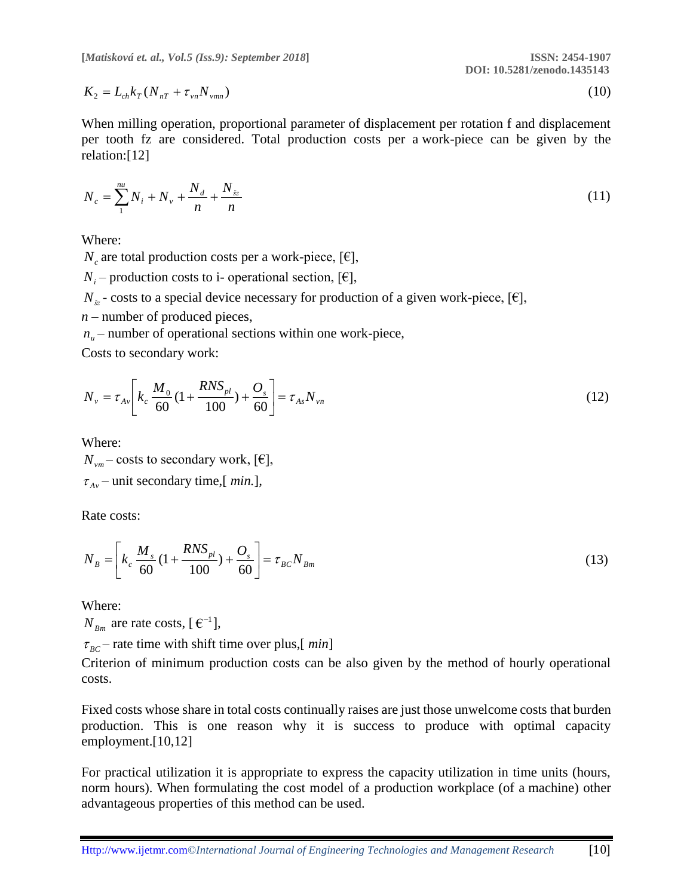$$
K_2 = L_{ch} k_T (N_{nT} + \tau_{vn} N_{vmn})
$$
\n(10)

When milling operation, proportional parameter of displacement per rotation f and displacement per tooth fz are considered. Total production costs per a work-piece can be given by the relation:[12]

$$
N_c = \sum_{1}^{nu} N_i + N_v + \frac{N_d}{n} + \frac{N_{\bar{z}z}}{n}
$$
 (11)

Where:

 $N_c$  are total production costs per a work-piece, [ $\epsilon$ ],

 $N_i$  – production costs to i- operational section,  $[\mathcal{E}]$ ,

 $N_{s_z}$  - costs to a special device necessary for production of a given work-piece, [ $\epsilon$ ],

*n –* number of produced pieces,

 $n_{u}$  – number of operational sections within one work-piece,

Costs to secondary work:

$$
N_{\nu} = \tau_{A\nu} \left[ k_c \frac{M_0}{60} (1 + \frac{R N S_{pl}}{100}) + \frac{O_s}{60} \right] = \tau_{As} N_{\nu n}
$$
 (12)

Where:

 $N_{\nu m}$  – costs to secondary work, [ $\epsilon$ ],  $\tau_{Av}$  – unit secondary time,[*min.*],

Rate costs:

$$
N_B = \left[ k_c \frac{M_s}{60} (1 + \frac{R N S_{pl}}{100}) + \frac{O_s}{60} \right] = \tau_{BC} N_{Bm}
$$
\n(13)

Where:

 $N_{Bm}$  are rate costs,  $\lbrack \, \in^{-1} \, \rbrack$ ,

 $\tau_{BC}$  – rate time with shift time over plus,[ *min*]

Criterion of minimum production costs can be also given by the method of hourly operational costs.

Fixed costs whose share in total costs continually raises are just those unwelcome costs that burden production. This is one reason why it is success to produce with optimal capacity employment.[10,12]

For practical utilization it is appropriate to express the capacity utilization in time units (hours, norm hours). When formulating the cost model of a production workplace (of a machine) other advantageous properties of this method can be used.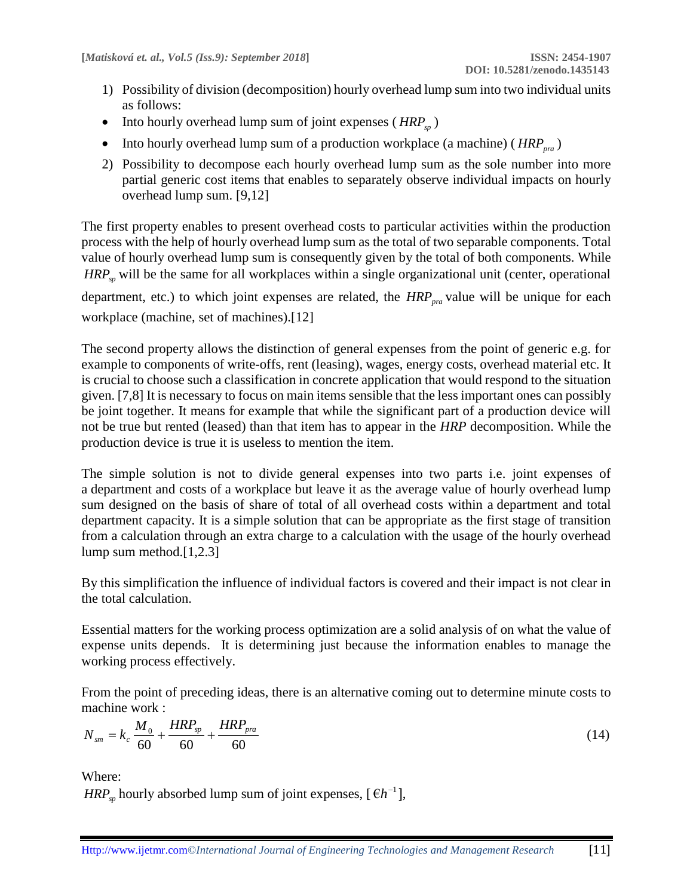- 1) Possibility of division (decomposition) hourly overhead lump sum into two individual units as follows:
- Into hourly overhead lump sum of joint expenses ( $HRP_{sp}$ )
- Into hourly overhead lump sum of a production workplace (a machine) (*HRP*<sub>*pra*</sub>)
- 2) Possibility to decompose each hourly overhead lump sum as the sole number into more partial generic cost items that enables to separately observe individual impacts on hourly overhead lump sum. [9,12]

The first property enables to present overhead costs to particular activities within the production process with the help of hourly overhead lump sum as the total of two separable components. Total value of hourly overhead lump sum is consequently given by the total of both components. While *HRPsp* will be the same for all workplaces within a single organizational unit (center, operational

department, etc.) to which joint expenses are related, the *HRPpra* value will be unique for each workplace (machine, set of machines).[12]

The second property allows the distinction of general expenses from the point of generic e.g. for example to components of write-offs, rent (leasing), wages, energy costs, overhead material etc. It is crucial to choose such a classification in concrete application that would respond to the situation given. [7,8] It is necessary to focus on main items sensible that the less important ones can possibly be joint together. It means for example that while the significant part of a production device will not be true but rented (leased) than that item has to appear in the *HRP* decomposition. While the production device is true it is useless to mention the item.

The simple solution is not to divide general expenses into two parts i.e. joint expenses of a department and costs of a workplace but leave it as the average value of hourly overhead lump sum designed on the basis of share of total of all overhead costs within a department and total department capacity. It is a simple solution that can be appropriate as the first stage of transition from a calculation through an extra charge to a calculation with the usage of the hourly overhead lump sum method.[1,2.3]

By this simplification the influence of individual factors is covered and their impact is not clear in the total calculation.

Essential matters for the working process optimization are a solid analysis of on what the value of expense units depends. It is determining just because the information enables to manage the working process effectively.

From the point of preceding ideas, there is an alternative coming out to determine minute costs to machine work :

$$
N_{\rm sm} = k_c \frac{M_0}{60} + \frac{HRP_{\rm sp}}{60} + \frac{HRP_{\rm pra}}{60} \tag{14}
$$

Where: *HRP*<sub>*sp*</sub> hourly absorbed lump sum of joint expenses,  $[ \epsilon h^{-1}]$ ,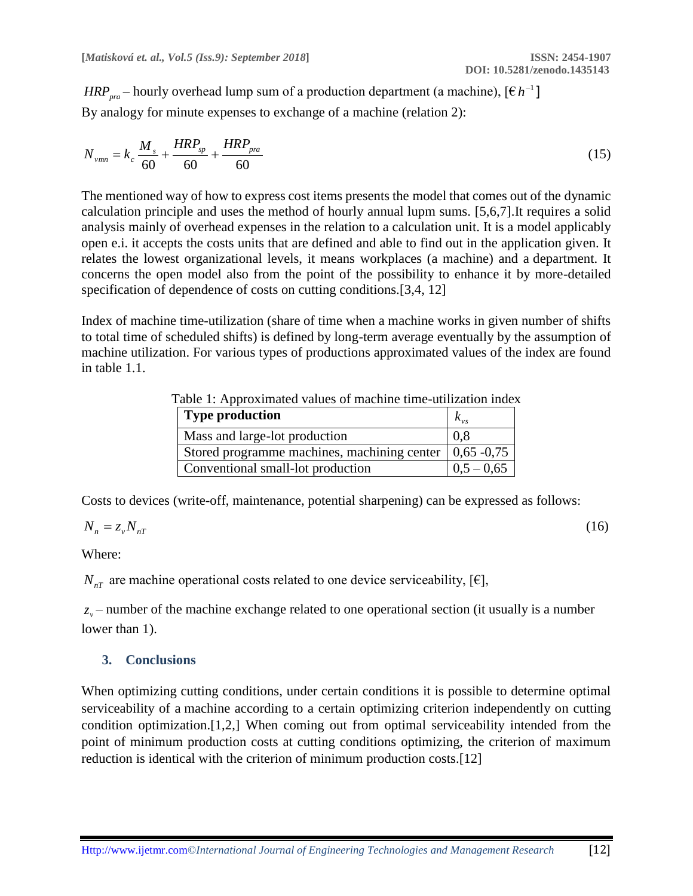*HRP*<sub>*pra*</sub> – hourly overhead lump sum of a production department (a machine),  $[ \in h^{-1} ]$ By analogy for minute expenses to exchange of a machine (relation 2):

$$
N_{\nu mn} = k_c \frac{M_s}{60} + \frac{HRP_{sp}}{60} + \frac{HRP_{pra}}{60}
$$
 (15)

The mentioned way of how to express cost items presents the model that comes out of the dynamic calculation principle and uses the method of hourly annual lupm sums. [5,6,7].It requires a solid analysis mainly of overhead expenses in the relation to a calculation unit. It is a model applicably open e.i. it accepts the costs units that are defined and able to find out in the application given. It relates the lowest organizational levels, it means workplaces (a machine) and a department. It concerns the open model also from the point of the possibility to enhance it by more-detailed specification of dependence of costs on cutting conditions.[3,4, 12]

Index of machine time-utilization (share of time when a machine works in given number of shifts to total time of scheduled shifts) is defined by long-term average eventually by the assumption of machine utilization. For various types of productions approximated values of the index are found in table 1.1.

| <b>Type production</b>                      |               |
|---------------------------------------------|---------------|
| Mass and large-lot production               | 0.8           |
| Stored programme machines, machining center | $0.65 - 0.75$ |
| Conventional small-lot production           | $0.5 - 0.65$  |

Table 1: Approximated values of machine time-utilization index

Costs to devices (write-off, maintenance, potential sharpening) can be expressed as follows:

$$
N_n = z_v N_{nT} \tag{16}
$$

Where:

 $N_{nT}$  are machine operational costs related to one device serviceability, [ $\epsilon$ ],

*v z* – number of the machine exchange related to one operational section (it usually is a number lower than 1).

### **3. Conclusions**

When optimizing cutting conditions, under certain conditions it is possible to determine optimal serviceability of a machine according to a certain optimizing criterion independently on cutting condition optimization.[1,2,] When coming out from optimal serviceability intended from the point of minimum production costs at cutting conditions optimizing, the criterion of maximum reduction is identical with the criterion of minimum production costs.[12]